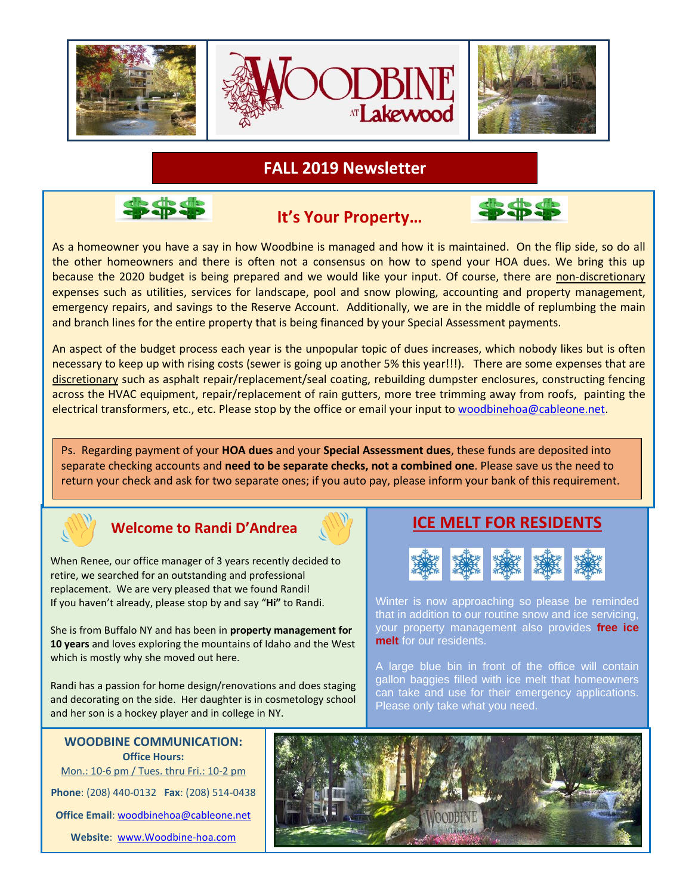

**FALL 2019 Newsletter**



 **It's Your Property...** 



As a homeowner you have a say in how Woodbine is managed and how it is maintained. On the flip side, so do all the other homeowners and there is often not a consensus on how to spend your HOA dues. We bring this up because the 2020 budget is being prepared and we would like your input. Of course, there are non-discretionary expenses such as utilities, services for landscape, pool and snow plowing, accounting and property management, emergency repairs, and savings to the Reserve Account. Additionally, we are in the middle of replumbing the main and branch lines for the entire property that is being financed by your Special Assessment payments.

An aspect of the budget process each year is the unpopular topic of dues increases, which nobody likes but is often necessary to keep up with rising costs (sewer is going up another 5% this year!!!). There are some expenses that are discretionary such as asphalt repair/replacement/seal coating, rebuilding dumpster enclosures, constructing fencing across the HVAC equipment, repair/replacement of rain gutters, more tree trimming away from roofs, painting the electrical transformers, etc., etc. Please stop by the office or email your input to [woodbinehoa@cableone.net.](mailto:woodbinehoa@cableone.net)

Ps. Regarding payment of your **HOA dues** and your **Special Assessment dues**, these funds are deposited into separate checking accounts and **need to be separate checks, not a combined one**. Please save us the need to return your check and ask for two separate ones; if you auto pay, please inform your bank of this requirement.



## **Welcome to Randi D'Andrea**

When Renee, our office manager of 3 years recently decided to retire, we searched for an outstanding and professional replacement. We are very pleased that we found Randi! If you haven't already, please stop by and say "**Hi"** to Randi.

She is from Buffalo NY and has been in **property management for 10 years** and loves exploring the mountains of Idaho and the West which is mostly why she moved out here.

Randi has a passion for home design/renovations and does staging and decorating on the side. Her daughter is in cosmetology school and her son is a hockey player and in college in NY.

## **WOODBINE COMMUNICATION: Office Hours:** Mon.: 10-6 pm / Tues. thru Fri.: 10-2 pm **Phone**: (208) 440-0132 **Fax**: (208) 514-0438 **Office Email**: [woodbinehoa@cableone.net](mailto:woodbinehoa@cableone.net) **Website**: [www.Woodbine-hoa.com](http://www.woodbine-hoa.com/)

## **ICE MELT FOR RESIDENTS**



Winter is now approaching so please be reminded that in addition to our routine snow and ice servicing, your property management also provides **free ice melt** for our residents.

A large blue bin in front of the office will contain gallon baggies filled with ice melt that homeowners can take and use for their emergency applications. Please only take what you need.

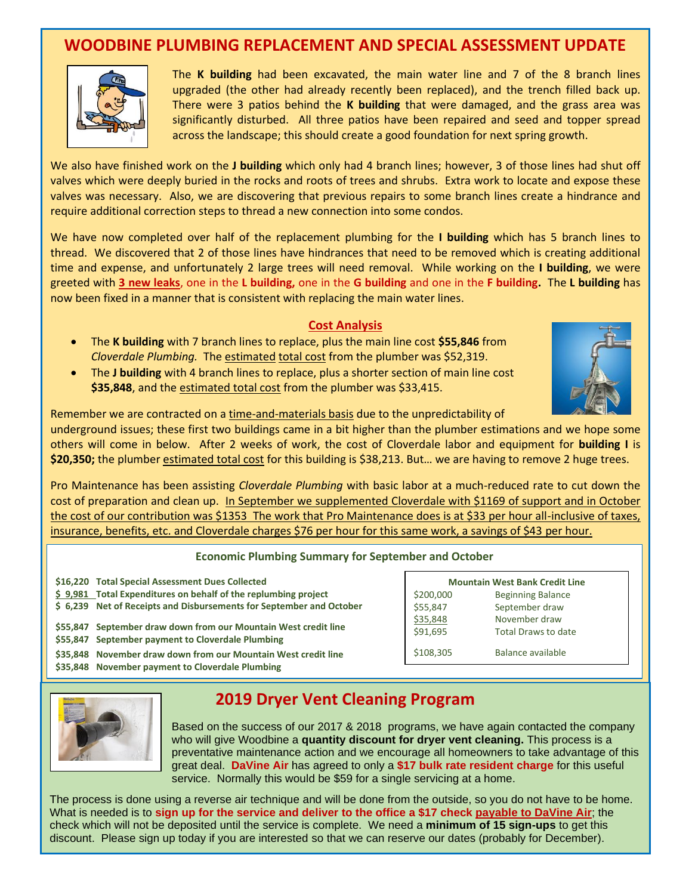## **WOODBINE PLUMBING REPLACEMENT AND SPECIAL ASSESSMENT UPDATE**



The **K building** had been excavated, the main water line and 7 of the 8 branch lines upgraded (the other had already recently been replaced), and the trench filled back up. There were 3 patios behind the **K building** that were damaged, and the grass area was significantly disturbed. All three patios have been repaired and seed and topper spread across the landscape; this should create a good foundation for next spring growth.

We also have finished work on the **J building** which only had 4 branch lines; however, 3 of those lines had shut off valves which were deeply buried in the rocks and roots of trees and shrubs. Extra work to locate and expose these valves was necessary. Also, we are discovering that previous repairs to some branch lines create a hindrance and require additional correction steps to thread a new connection into some condos.

We have now completed over half of the replacement plumbing for the **I building** which has 5 branch lines to thread. We discovered that 2 of those lines have hindrances that need to be removed which is creating additional time and expense, and unfortunately 2 large trees will need removal. While working on the **I building**, we were greeted with **3 new leaks**, one in the **L building,** one in the **G building** and one in the **F building.** The **L building** has now been fixed in a manner that is consistent with replacing the main water lines.

### **Cost Analysis**

- The **K building** with 7 branch lines to replace, plus the main line cost **\$55,846** from *Cloverdale Plumbing.* The estimated total cost from the plumber was \$52,319.
- The **J building** with 4 branch lines to replace, plus a shorter section of main line cost **\$35,848**, and the estimated total cost from the plumber was \$33,415.



Remember we are contracted on a time-and-materials basis due to the unpredictability of

underground issues; these first two buildings came in a bit higher than the plumber estimations and we hope some others will come in below. After 2 weeks of work, the cost of Cloverdale labor and equipment for **building I** is **\$20,350;** the plumber estimated total cost for this building is \$38,213. But… we are having to remove 2 huge trees.

Pro Maintenance has been assisting *Cloverdale Plumbing* with basic labor at a much-reduced rate to cut down the cost of preparation and clean up. In September we supplemented Cloverdale with \$1169 of support and in October the cost of our contribution was \$1353 The work that Pro Maintenance does is at \$33 per hour all-inclusive of taxes, insurance, benefits, etc. and Cloverdale charges \$76 per hour for this same work, a savings of \$43 per hour.

#### **Economic Plumbing Summary for September and October**

| \$16,220 Total Special Assessment Dues Collected                                                                     | <b>Mountain West Bank Credit Line</b> |                                      |
|----------------------------------------------------------------------------------------------------------------------|---------------------------------------|--------------------------------------|
| \$9,981 Total Expenditures on behalf of the replumbing project                                                       | \$200,000                             | <b>Beginning Balance</b>             |
| \$ 6,239 Net of Receipts and Disbursements for September and October                                                 | \$55,847                              | September draw                       |
| \$55,847 September draw down from our Mountain West credit line<br>\$55,847 September payment to Cloverdale Plumbing | \$35,848<br>\$91,695                  | November draw<br>Total Draws to date |
| \$35,848 November draw down from our Mountain West credit line<br>\$35,848 November payment to Cloverdale Plumbing   | \$108,305                             | Balance available                    |



# **2019 Dryer Vent Cleaning Program**

Based on the success of our 2017 & 2018 programs, we have again contacted the company who will give Woodbine a **quantity discount for dryer vent cleaning.** This process is a preventative maintenance action and we encourage all homeowners to take advantage of this great deal. **DaVine Air** has agreed to only a **\$17 bulk rate resident charge** for this useful service. Normally this would be \$59 for a single servicing at a home.

The process is done using a reverse air technique and will be done from the outside, so you do not have to be home. What is needed is to **sign up for the service and deliver to the office a \$17 check payable to DaVine Air**; the check which will not be deposited until the service is complete. We need a **minimum of 15 sign-ups** to get this discount. Please sign up today if you are interested so that we can reserve our dates (probably for December).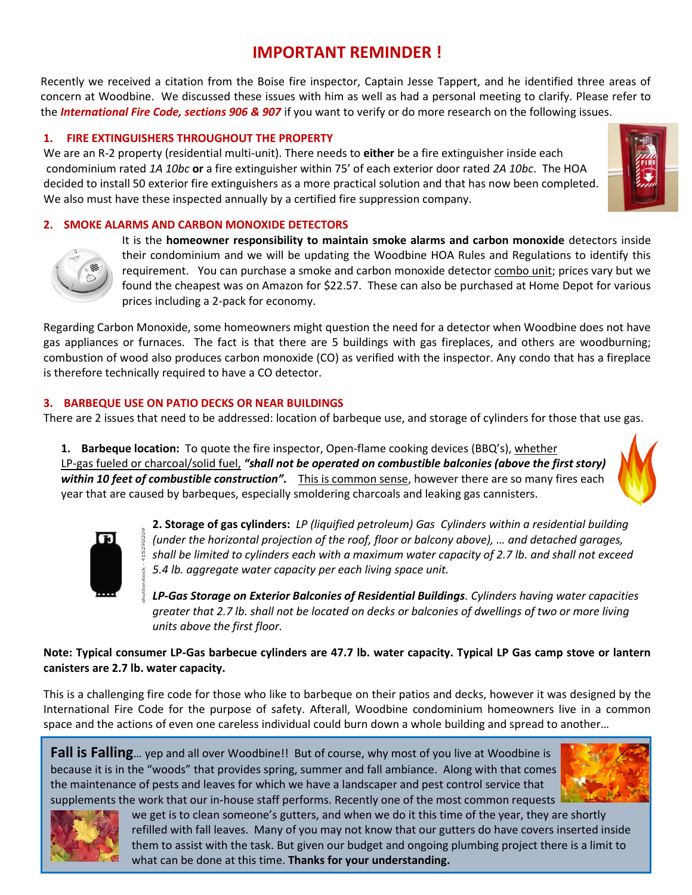# **IMPORTANT REMINDER !**

Recently we received a citation from the Boise fire inspector, Captain Jesse Tappert, and he identified three areas of concern at Woodbine. We discussed these issues with him as well as had a personal meeting to clarify. Please refer to the *International Fire Code, sections 906 & 907* if you want to verify or do more research on the following issues.

### **1. FIRE EXTINGUISHERS THROUGHOUT THE PROPERTY**

We are an R-2 property (residential multi-unit). There needs to **either** be a fire extinguisher inside each condominium rated *1A 10bc* **or** a fire extinguisher within 75' of each exterior door rated *2A 10bc*. The HOA decided to install 50 exterior fire extinguishers as a more practical solution and that has now been completed. We also must have these inspected annually by a certified fire suppression company.

### **2. SMOKE ALARMS AND CARBON MONOXIDE DETECTORS**



It is the **homeowner responsibility to maintain smoke alarms and carbon monoxide** detectors inside their condominium and we will be updating the Woodbine HOA Rules and Regulations to identify this requirement. You can purchase a smoke and carbon monoxide detector combo unit; prices vary but we found the cheapest was on Amazon for \$22.57. These can also be purchased at Home Depot for various prices including a 2-pack for economy.

Regarding Carbon Monoxide, some homeowners might question the need for a detector when Woodbine does not have gas appliances or furnaces. The fact is that there are 5 buildings with gas fireplaces, and others are woodburning; combustion of wood also produces carbon monoxide (CO) as verified with the inspector. Any condo that has a fireplace is therefore technically required to have a CO detector.

### **3. BARBEQUE USE ON PATIO DECKS OR NEAR BUILDINGS**

There are 2 issues that need to be addressed: location of barbeque use, and storage of cylinders for those that use gas.

**1. Barbeque location:** To quote the fire inspector, Open-flame cooking devices (BBQ's), whether LP-gas fueled or charcoal/solid fuel, *"shall not be operated on combustible balconies (above the first story) within 10 feet of combustible construction".* This is common sense, however there are so many fires each year that are caused by barbeques, especially smoldering charcoals and leaking gas cannisters.





**2. Storage of gas cylinders:** *LP (liquified petroleum) Gas Cylinders within a residential building (under the horizontal projection of the roof, floor or balcony above), ... and detached garages, shall be limited to cylinders each with a maximum water capacity of 2.7 lb. and shall not exceed 5.4 lb. aggregate water capacity per each living space unit.*

*LP-Gas Storage on Exterior Balconies of Residential Buildings. Cylinders having water capacities greater that 2.7 lb. shall not be located on decks or balconies of dwellings of two or more living units above the first floor.* 

### **Note: Typical consumer LP-Gas barbecue cylinders are 47.7 lb. water capacity. Typical LP Gas camp stove or lantern canisters are 2.7 lb. water capacity.**

This is a challenging fire code for those who like to barbeque on their patios and decks, however it was designed by the International Fire Code for the purpose of safety. Afterall, Woodbine condominium homeowners live in a common space and the actions of even one careless individual could burn down a whole building and spread to another…

**Fall is Falling**... yep and all over Woodbine!! But of course, why most of you live at Woodbine is because it is in the "woods" that provides spring, summer and fall ambiance. Along with that comes the maintenance of pests and leaves for which we have a landscaper and pest control service that supplements the work that our in-house staff performs. Recently one of the most common requests





we get is to clean someone's gutters, and when we do it this time of the year, they are shortly refilled with fall leaves. Many of you may not know that our gutters do have covers inserted inside them to assist with the task. But given our budget and ongoing plumbing project there is a limit to what can be done at this time. **Thanks for your understanding.**